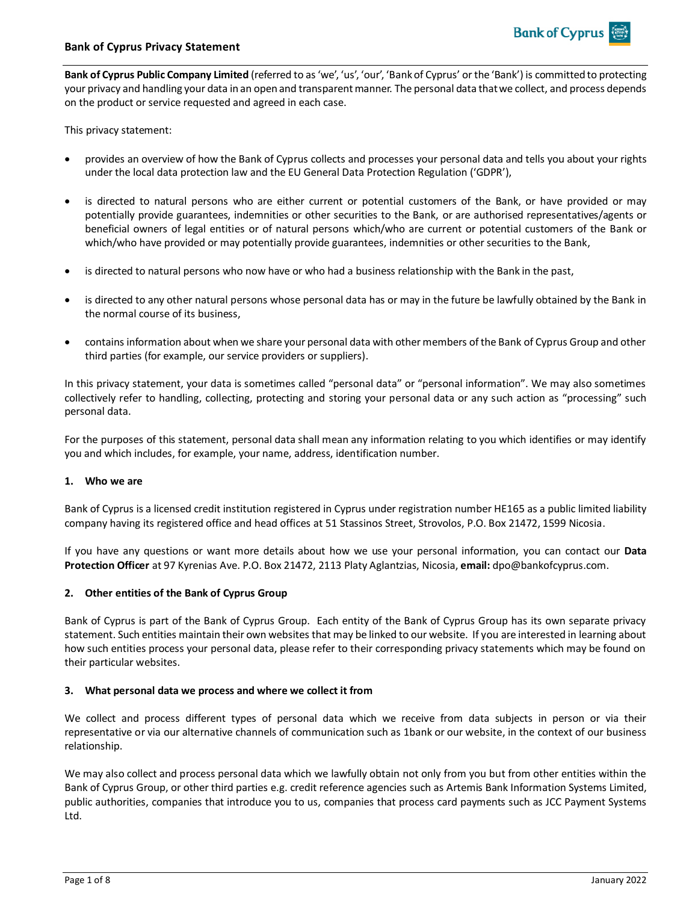**Bank of Cyprus Public Company Limited** (referred to as 'we', 'us', 'our', 'Bank of Cyprus' or the 'Bank') is committed to protecting your privacy and handling your data in an open and transparent manner. The personal data that we collect, and process depends on the product or service requested and agreed in each case.

This privacy statement:

- provides an overview of how the Bank of Cyprus collects and processes your personal data and tells you about your rights under the local data protection law and the EU General Data Protection Regulation ('GDPR'),
- is directed to natural persons who are either current or potential customers of the Bank, or have provided or may potentially provide guarantees, indemnities or other securities to the Bank, or are authorised representatives/agents or beneficial owners of legal entities or of natural persons which/who are current or potential customers of the Bank or which/who have provided or may potentially provide guarantees, indemnities or other securities to the Bank,
- is directed to natural persons who now have or who had a business relationship with the Bank in the past,
- is directed to any other natural persons whose personal data has or may in the future be lawfully obtained by the Bank in the normal course of its business,
- contains information about when we share your personal data with other members of the Bank of Cyprus Group and other third parties (for example, our service providers or suppliers).

In this privacy statement, your data is sometimes called "personal data" or "personal information". We may also sometimes collectively refer to handling, collecting, protecting and storing your personal data or any such action as "processing" such personal data.

For the purposes of this statement, personal data shall mean any information relating to you which identifies or may identify you and which includes, for example, your name, address, identification number.

### **1. Who we are**

Bank of Cyprus is a licensed credit institution registered in Cyprus under registration number HE165 as a public limited liability company having its registered office and head offices at 51 Stassinos Street, Strovolos, P.O. Box 21472, 1599 Nicosia.

If you have any questions or want more details about how we use your personal information, you can contact our **Data Protection Officer** at 97 Kyrenias Ave. P.O. Box 21472, 2113 Platy Aglantzias, Nicosia, **email:** dpo@bankofcyprus.com.

### **2. Other entities of the Bank of Cyprus Group**

Bank of Cyprus is part of the Bank of Cyprus Group. Each entity of the Bank of Cyprus Group has its own separate privacy statement. Such entities maintain their own websites that may be linked to our website. If you are interested in learning about how such entities process your personal data, please refer to their corresponding privacy statements which may be found on their particular websites.

### **3. What personal data we process and where we collect it from**

We collect and process different types of personal data which we receive from data subjects in person or via their representative or via our alternative channels of communication such as 1bank or our website, in the context of our business relationship.

We may also collect and process personal data which we lawfully obtain not only from you but from other entities within the Bank of Cyprus Group, or other third parties e.g. credit reference agencies such as Artemis Bank Information Systems Limited, public authorities, companies that introduce you to us, companies that process card payments such as JCC Payment Systems Ltd.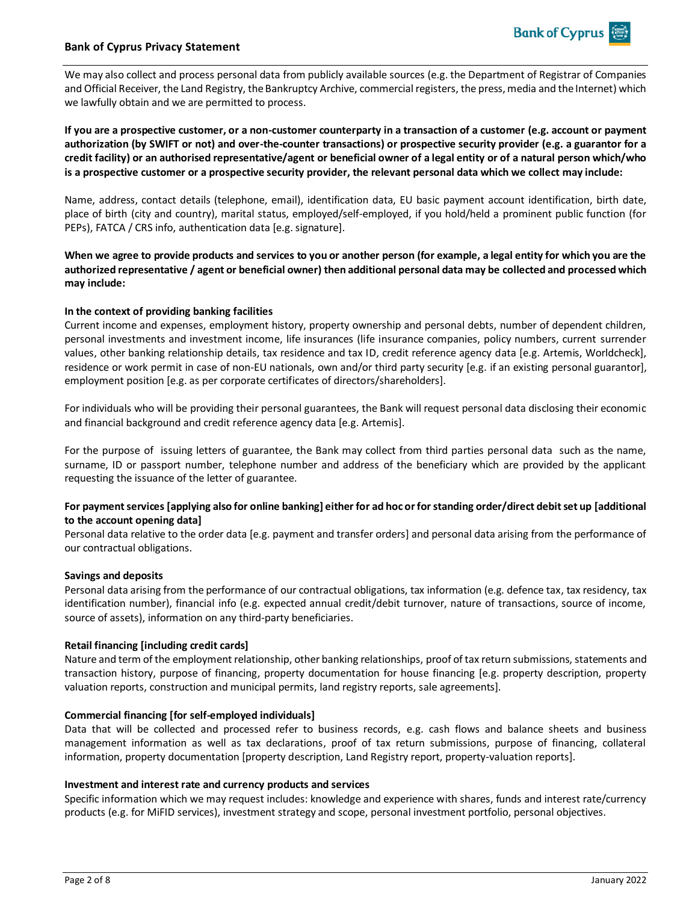

## **Bank of Cyprus Privacy Statement**

We may also collect and process personal data from publicly available sources (e.g. the Department of Registrar of Companies and Official Receiver, the Land Registry, the Bankruptcy Archive, commercial registers, the press, media and the Internet) which we lawfully obtain and we are permitted to process.

**If you are a prospective customer, or a non-customer counterparty in a transaction of a customer (e.g. account or payment authorization (by SWIFT or not) and over-the-counter transactions) or prospective security provider (e.g. a guarantor for a credit facility) or an authorised representative/agent or beneficial owner of a legal entity or of a natural person which/who is a prospective customer or a prospective security provider, the relevant personal data which we collect may include:**

Name, address, contact details (telephone, email), identification data, EU basic payment account identification, birth date, place of birth (city and country), marital status, employed/self-employed, if you hold/held a prominent public function (for PEPs), FATCA / CRS info, authentication data [e.g. signature].

**When we agree to provide products and services to you or another person (for example, a legal entity for which you are the authorized representative / agent or beneficial owner) then additional personal data may be collected and processed which may include:**

## **In the context of providing banking facilities**

Current income and expenses, employment history, property ownership and personal debts, number of dependent children, personal investments and investment income, life insurances (life insurance companies, policy numbers, current surrender values, other banking relationship details, tax residence and tax ID, credit reference agency data [e.g. Artemis, Worldcheck], residence or work permit in case of non-EU nationals, own and/or third party security [e.g. if an existing personal guarantor], employment position [e.g. as per corporate certificates of directors/shareholders].

For individuals who will be providing their personal guarantees, the Bank will request personal data disclosing their economic and financial background and credit reference agency data [e.g. Artemis].

For the purpose of issuing letters of guarantee, the Bank may collect from third parties personal data such as the name, surname, ID or passport number, telephone number and address of the beneficiary which are provided by the applicant requesting the issuance of the letter of guarantee.

## **For payment services [applying also for online banking] either for ad hoc or for standing order/direct debit set up [additional to the account opening data]**

Personal data relative to the order data [e.g. payment and transfer orders] and personal data arising from the performance of our contractual obligations.

### **Savings and deposits**

Personal data arising from the performance of our contractual obligations, tax information (e.g. defence tax, tax residency, tax identification number), financial info (e.g. expected annual credit/debit turnover, nature of transactions, source of income, source of assets), information on any third-party beneficiaries.

### **Retail financing [including credit cards]**

Nature and term of the employment relationship, other banking relationships, proof of tax return submissions, statements and transaction history, purpose of financing, property documentation for house financing [e.g. property description, property valuation reports, construction and municipal permits, land registry reports, sale agreements].

### **Commercial financing [for self-employed individuals]**

Data that will be collected and processed refer to business records, e.g. cash flows and balance sheets and business management information as well as tax declarations, proof of tax return submissions, purpose of financing, collateral information, property documentation [property description, Land Registry report, property-valuation reports].

### **Investment and interest rate and currency products and services**

Specific information which we may request includes: knowledge and experience with shares, funds and interest rate/currency products (e.g. for MiFID services), investment strategy and scope, personal investment portfolio, personal objectives.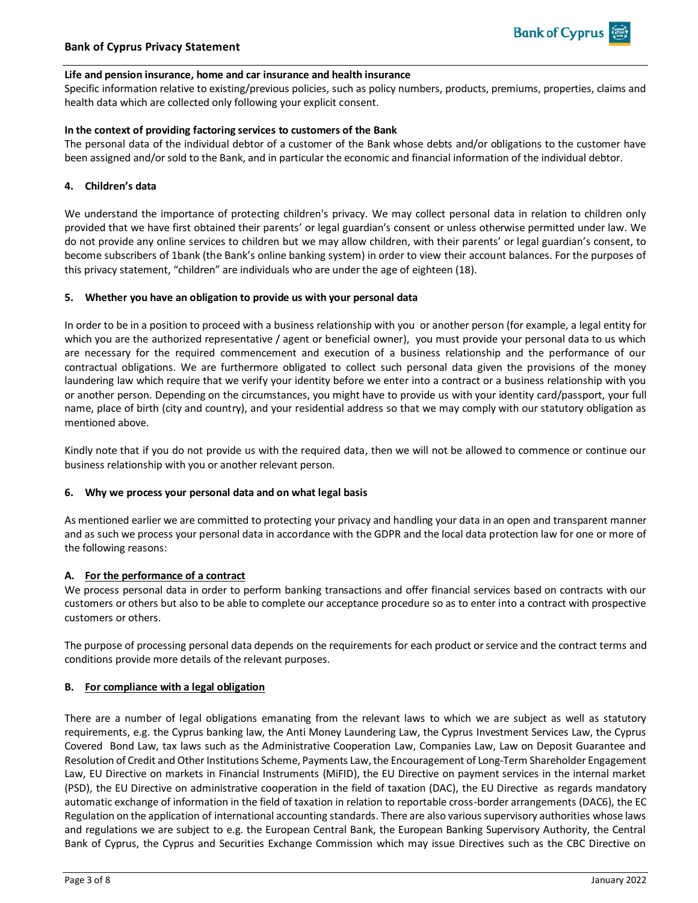## **Life and pension insurance, home and car insurance and health insurance**

Specific information relative to existing/previous policies, such as policy numbers, products, premiums, properties, claims and health data which are collected only following your explicit consent.

## **In the context of providing factoring services to customers of the Bank**

The personal data of the individual debtor of a customer of the Bank whose debts and/or obligations to the customer have been assigned and/or sold to the Bank, and in particular the economic and financial information of the individual debtor.

## **4. Children's data**

We understand the importance of protecting children's privacy. We may collect personal data in relation to children only provided that we have first obtained their parents' or legal guardian's consent or unless otherwise permitted under law. We do not provide any online services to children but we may allow children, with their parents' or legal guardian's consent, to become subscribers of 1bank (the Bank's online banking system) in order to view their account balances. For the purposes of this privacy statement, "children" are individuals who are under the age of eighteen (18).

## **5. Whether you have an obligation to provide us with your personal data**

In order to be in a position to proceed with a business relationship with you or another person (for example, a legal entity for which you are the authorized representative / agent or beneficial owner), you must provide your personal data to us which are necessary for the required commencement and execution of a business relationship and the performance of our contractual obligations. We are furthermore obligated to collect such personal data given the provisions of the money laundering law which require that we verify your identity before we enter into a contract or a business relationship with you or another person. Depending on the circumstances, you might have to provide us with your identity card/passport, your full name, place of birth (city and country), and your residential address so that we may comply with our statutory obligation as mentioned above.

Kindly note that if you do not provide us with the required data, then we will not be allowed to commence or continue our business relationship with you or another relevant person.

### **6. Why we process your personal data and on what legal basis**

As mentioned earlier we are committed to protecting your privacy and handling your data in an open and transparent manner and as such we process your personal data in accordance with the GDPR and the local data protection law for one or more of the following reasons:

## **A. For the performance of a contract**

We process personal data in order to perform banking transactions and offer financial services based on contracts with our customers or others but also to be able to complete our acceptance procedure so as to enter into a contract with prospective customers or others.

The purpose of processing personal data depends on the requirements for each product or service and the contract terms and conditions provide more details of the relevant purposes.

### **B. For compliance with a legal obligation**

There are a number of legal obligations emanating from the relevant laws to which we are subject as well as statutory requirements, e.g. the Cyprus banking law, the Anti Money Laundering Law, the Cyprus Investment Services Law, the Cyprus Covered Bond Law, tax laws such as the Administrative Cooperation Law, Companies Law, Law on Deposit Guarantee and Resolution of Credit and Other Institutions Scheme, Payments Law, the Encouragement of Long-Term Shareholder Engagement Law, EU Directive on markets in Financial Instruments (MiFID), the EU Directive on payment services in the internal market (PSD), the EU Directive on administrative cooperation in the field of taxation (DAC), the EU Directive as regards mandatory automatic exchange of information in the field of taxation in relation to reportable cross-border arrangements (DAC6), the EC Regulation on the application of international accounting standards. There are also various supervisory authorities whose laws and regulations we are subject to e.g. the European Central Bank, the European Banking Supervisory Authority, the Central Bank of Cyprus, the Cyprus and Securities Exchange Commission which may issue Directives such as the CBC Directive on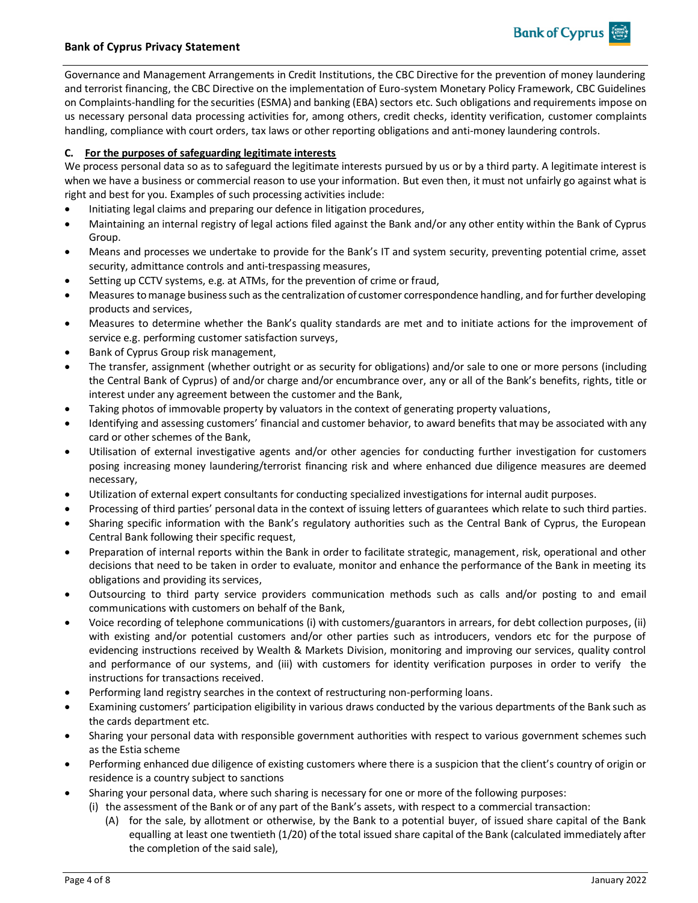

Governance and Management Arrangements in Credit Institutions, the CBC Directive for the prevention of money laundering and terrorist financing, the CBC Directive on the implementation of Euro-system Monetary Policy Framework, CBC Guidelines on Complaints-handling for the securities (ESMA) and banking (EBA) sectors etc. Such obligations and requirements impose on us necessary personal data processing activities for, among others, credit checks, identity verification, customer complaints handling, compliance with court orders, tax laws or other reporting obligations and anti-money laundering controls.

**Bank of Cyprus** 

# **C. For the purposes of safeguarding legitimate interests**

We process personal data so as to safeguard the legitimate interests pursued by us or by a third party. A legitimate interest is when we have a business or commercial reason to use your information. But even then, it must not unfairly go against what is right and best for you. Examples of such processing activities include:

- Initiating legal claims and preparing our defence in litigation procedures,
- Maintaining an internal registry of legal actions filed against the Bank and/or any other entity within the Bank of Cyprus Group.
- Means and processes we undertake to provide for the Bank's IT and system security, preventing potential crime, asset security, admittance controls and anti-trespassing measures,
- Setting up CCTV systems, e.g. at ATMs, for the prevention of crime or fraud,
- Measures to manage business such as the centralization of customer correspondence handling, and for further developing products and services,
- Measures to determine whether the Bank's quality standards are met and to initiate actions for the improvement of service e.g. performing customer satisfaction surveys,
- Bank of Cyprus Group risk management,
- The transfer, assignment (whether outright or as security for obligations) and/or sale to one or more persons (including the Central Bank of Cyprus) of and/or charge and/or encumbrance over, any or all of the Bank's benefits, rights, title or interest under any agreement between the customer and the Bank,
- Taking photos of immovable property by valuators in the context of generating property valuations,
- Identifying and assessing customers' financial and customer behavior, to award benefits that may be associated with any card or other schemes of the Bank,
- Utilisation of external investigative agents and/or other agencies for conducting further investigation for customers posing increasing money laundering/terrorist financing risk and where enhanced due diligence measures are deemed necessary,
- Utilization of external expert consultants for conducting specialized investigations for internal audit purposes.
- Processing of third parties' personal data in the context of issuing letters of guarantees which relate to such third parties.
- Sharing specific information with the Bank's regulatory authorities such as the Central Bank of Cyprus, the European Central Bank following their specific request,
- Preparation of internal reports within the Bank in order to facilitate strategic, management, risk, operational and other decisions that need to be taken in order to evaluate, monitor and enhance the performance of the Bank in meeting its obligations and providing its services,
- Outsourcing to third party service providers communication methods such as calls and/or posting to and email communications with customers on behalf of the Bank,
- Voice recording of telephone communications (i) with customers/guarantors in arrears, for debt collection purposes, (ii) with existing and/or potential customers and/or other parties such as introducers, vendors etc for the purpose of evidencing instructions received by Wealth & Markets Division, monitoring and improving our services, quality control and performance of our systems, and (iii) with customers for identity verification purposes in order to verify the instructions for transactions received.
- Performing land registry searches in the context of restructuring non-performing loans.
- Examining customers' participation eligibility in various draws conducted by the various departments of the Bank such as the cards department etc.
- Sharing your personal data with responsible government authorities with respect to various government schemes such as the Estia scheme
- Performing enhanced due diligence of existing customers where there is a suspicion that the client's country of origin or residence is a country subject to sanctions
- Sharing your personal data, where such sharing is necessary for one or more of the following purposes:
	- (i) the assessment of the Bank or of any part of the Bank's assets, with respect to a commercial transaction:
		- (A) for the sale, by allotment or otherwise, by the Bank to a potential buyer, of issued share capital of the Bank equalling at least one twentieth (1/20) of the total issued share capital of the Bank (calculated immediately after the completion of the said sale),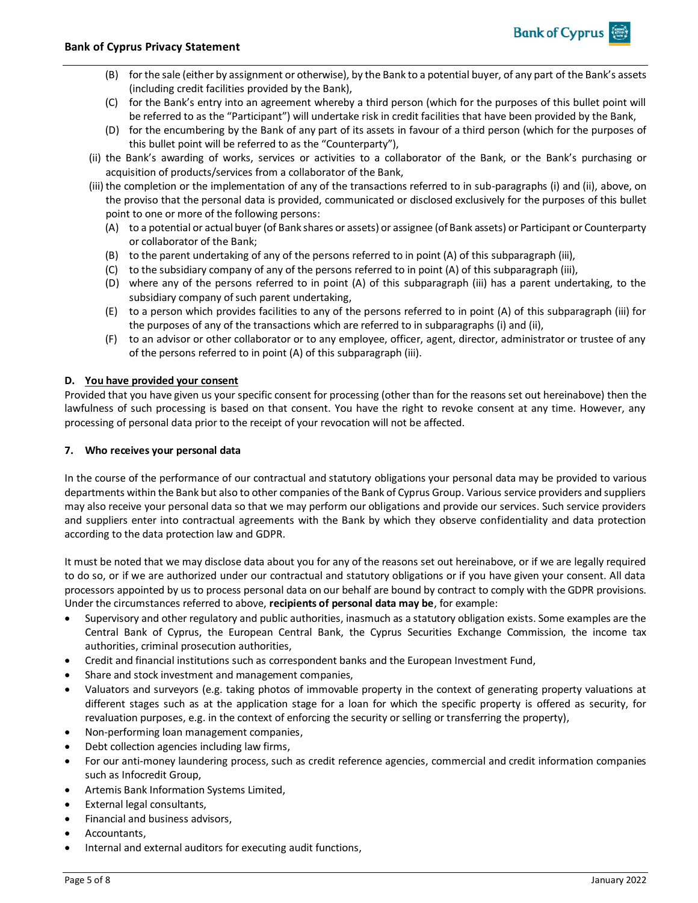(B) for the sale (either by assignment or otherwise), by the Bank to a potential buyer, of any part of the Bank's assets (including credit facilities provided by the Bank),

**Bank of Cyprus** 

- (C) for the Bank's entry into an agreement whereby a third person (which for the purposes of this bullet point will be referred to as the "Participant") will undertake risk in credit facilities that have been provided by the Bank,
- (D) for the encumbering by the Bank of any part of its assets in favour of a third person (which for the purposes of this bullet point will be referred to as the "Counterparty"),
- (ii) the Bank's awarding of works, services or activities to a collaborator of the Bank, or the Bank's purchasing or acquisition of products/services from a collaborator of the Bank,
- (iii) the completion or the implementation of any of the transactions referred to in sub-paragraphs (i) and (ii), above, on the proviso that the personal data is provided, communicated or disclosed exclusively for the purposes of this bullet point to one or more of the following persons:
	- (A) to a potential or actual buyer (of Bank shares or assets) or assignee (of Bank assets) or Participant or Counterparty or collaborator of the Bank;
	- (B) to the parent undertaking of any of the persons referred to in point (A) of this subparagraph (iii),
	- (C) to the subsidiary company of any of the persons referred to in point (A) of this subparagraph (iii),
	- (D) where any of the persons referred to in point (A) of this subparagraph (iii) has a parent undertaking, to the subsidiary company of such parent undertaking,
	- (E) to a person which provides facilities to any of the persons referred to in point (A) of this subparagraph (iii) for the purposes of any of the transactions which are referred to in subparagraphs (i) and (ii),
	- (F) to an advisor or other collaborator or to any employee, officer, agent, director, administrator or trustee of any of the persons referred to in point (A) of this subparagraph (iii).

# **D. You have provided your consent**

Provided that you have given us your specific consent for processing (other than for the reasons set out hereinabove) then the lawfulness of such processing is based on that consent. You have the right to revoke consent at any time. However, any processing of personal data prior to the receipt of your revocation will not be affected.

## **7. Who receives your personal data**

In the course of the performance of our contractual and statutory obligations your personal data may be provided to various departments within the Bank but also to other companies of the Bank of Cyprus Group. Various service providers and suppliers may also receive your personal data so that we may perform our obligations and provide our services. Such service providers and suppliers enter into contractual agreements with the Bank by which they observe confidentiality and data protection according to the data protection law and GDPR.

It must be noted that we may disclose data about you for any of the reasons set out hereinabove, or if we are legally required to do so, or if we are authorized under our contractual and statutory obligations or if you have given your consent. All data processors appointed by us to process personal data on our behalf are bound by contract to comply with the GDPR provisions. Under the circumstances referred to above, **recipients of personal data may be**, for example:

- Supervisory and other regulatory and public authorities, inasmuch as a statutory obligation exists. Some examples are the Central Bank of Cyprus, the European Central Bank, the Cyprus Securities Exchange Commission, the income tax authorities, criminal prosecution authorities,
- Credit and financial institutions such as correspondent banks and the European Investment Fund,
- Share and stock investment and management companies,
- Valuators and surveyors (e.g. taking photos of immovable property in the context of generating property valuations at different stages such as at the application stage for a loan for which the specific property is offered as security, for revaluation purposes, e.g. in the context of enforcing the security or selling or transferring the property),
- Non-performing loan management companies,
- Debt collection agencies including law firms,
- For our anti-money laundering process, such as credit reference agencies, commercial and credit information companies such as Infocredit Group,
- Artemis Bank Information Systems Limited,
- External legal consultants,
- Financial and business advisors,
- Accountants,
- Internal and external auditors for executing audit functions,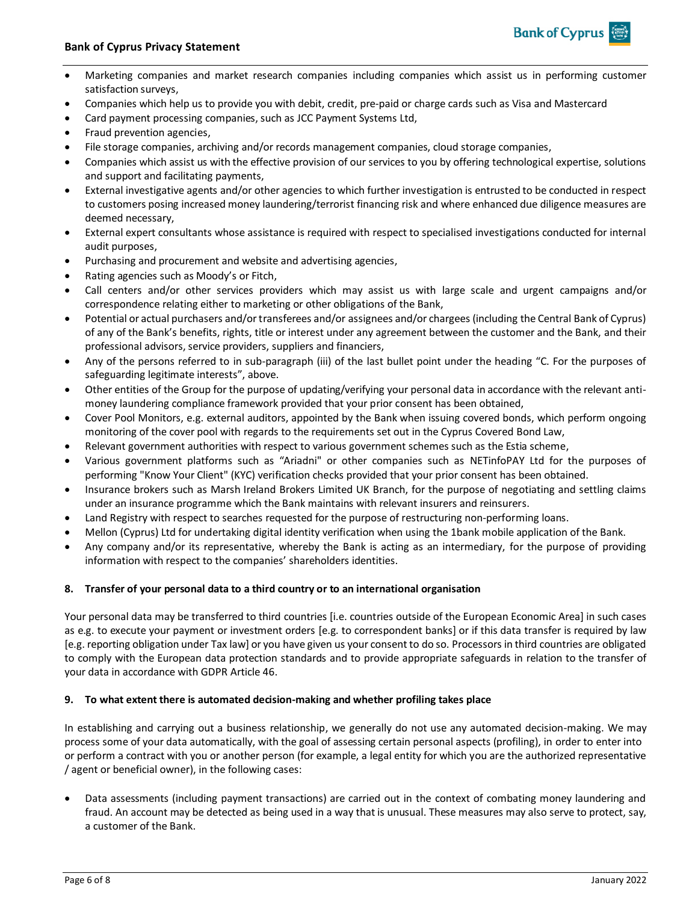

**Bank of Cyprus** 

- Companies which help us to provide you with debit, credit, pre-paid or charge cards such as Visa and Mastercard
- Card payment processing companies, such as JCC Payment Systems Ltd,
- Fraud prevention agencies,
- File storage companies, archiving and/or records management companies, cloud storage companies,
- Companies which assist us with the effective provision of our services to you by offering technological expertise, solutions and support and facilitating payments,
- External investigative agents and/or other agencies to which further investigation is entrusted to be conducted in respect to customers posing increased money laundering/terrorist financing risk and where enhanced due diligence measures are deemed necessary,
- External expert consultants whose assistance is required with respect to specialised investigations conducted for internal audit purposes,
- Purchasing and procurement and website and advertising agencies,
- Rating agencies such as Moody's or Fitch,
- Call centers and/or other services providers which may assist us with large scale and urgent campaigns and/or correspondence relating either to marketing or other obligations of the Bank,
- Potential or actual purchasers and/or transferees and/or assignees and/or chargees (including the Central Bank of Cyprus) of any of the Bank's benefits, rights, title or interest under any agreement between the customer and the Bank, and their professional advisors, service providers, suppliers and financiers,
- Any of the persons referred to in sub-paragraph (iii) of the last bullet point under the heading "C. For the purposes of safeguarding legitimate interests", above.
- Other entities of the Group for the purpose of updating/verifying your personal data in accordance with the relevant antimoney laundering compliance framework provided that your prior consent has been obtained,
- Cover Pool Monitors, e.g. external auditors, appointed by the Bank when issuing covered bonds, which perform ongoing monitoring of the cover pool with regards to the requirements set out in the Cyprus Covered Bond Law,
- Relevant government authorities with respect to various government schemes such as the Estia scheme,
- Various government platforms such as "Ariadni" or other companies such as NETinfoPAY Ltd for the purposes of performing "Know Your Client" (KYC) verification checks provided that your prior consent has been obtained.
- Insurance brokers such as Marsh Ireland Brokers Limited UK Branch, for the purpose of negotiating and settling claims under an insurance programme which the Bank maintains with relevant insurers and reinsurers.
- Land Registry with respect to searches requested for the purpose of restructuring non-performing loans.
- Mellon (Cyprus) Ltd for undertaking digital identity verification when using the 1bank mobile application of the Bank.
- Any company and/or its representative, whereby the Bank is acting as an intermediary, for the purpose of providing information with respect to the companies' shareholders identities.

### **8. Transfer of your personal data to a third country or to an international organisation**

Your personal data may be transferred to third countries [i.e. countries outside of the European Economic Area] in such cases as e.g. to execute your payment or investment orders [e.g. to correspondent banks] or if this data transfer is required by law [e.g. reporting obligation under Tax law] or you have given us your consent to do so. Processors in third countries are obligated to comply with the European data protection standards and to provide appropriate safeguards in relation to the transfer of your data in accordance with GDPR Article 46.

### **9. To what extent there is automated decision-making and whether profiling takes place**

In establishing and carrying out a business relationship, we generally do not use any automated decision-making. We may process some of your data automatically, with the goal of assessing certain personal aspects (profiling), in order to enter into or perform a contract with you or another person (for example, a legal entity for which you are the authorized representative / agent or beneficial owner), in the following cases:

• Data assessments (including payment transactions) are carried out in the context of combating money laundering and fraud. An account may be detected as being used in a way that is unusual. These measures may also serve to protect, say, a customer of the Bank.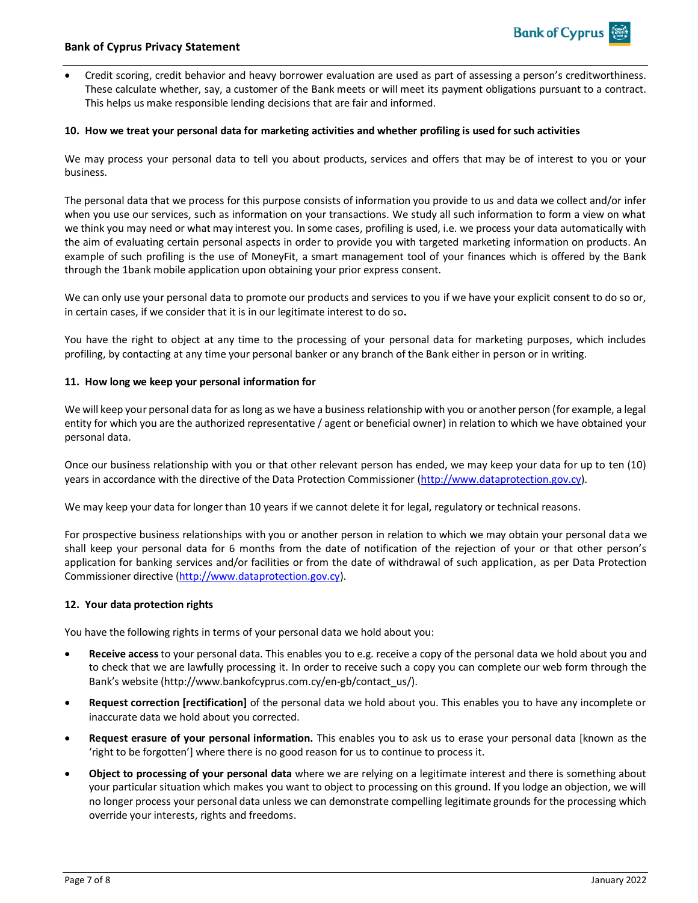### **Bank of Cyprus Privacy Statement**

• Credit scoring, credit behavior and heavy borrower evaluation are used as part of assessing a person's creditworthiness. These calculate whether, say, a customer of the Bank meets or will meet its payment obligations pursuant to a contract. This helps us make responsible lending decisions that are fair and informed.

### **10. How we treat your personal data for marketing activities and whether profiling is used for such activities**

We may process your personal data to tell you about products, services and offers that may be of interest to you or your business.

The personal data that we process for this purpose consists of information you provide to us and data we collect and/or infer when you use our services, such as information on your transactions. We study all such information to form a view on what we think you may need or what may interest you. In some cases, profiling is used, i.e. we process your data automatically with the aim of evaluating certain personal aspects in order to provide you with targeted marketing information on products. An example of such profiling is the use of MoneyFit, a smart management tool of your finances which is offered by the Bank through the 1bank mobile application upon obtaining your prior express consent.

We can only use your personal data to promote our products and services to you if we have your explicit consent to do so or, in certain cases, if we consider that it is in our legitimate interest to do so**.**

You have the right to object at any time to the processing of your personal data for marketing purposes, which includes profiling, by contacting at any time your personal banker or any branch of the Bank either in person or in writing.

### **11. How long we keep your personal information for**

We will keep your personal data for as long as we have a business relationship with you or another person (for example, a legal entity for which you are the authorized representative / agent or beneficial owner) in relation to which we have obtained your personal data.

Once our business relationship with you or that other relevant person has ended, we may keep your data for up to ten (10) years in accordance with the directive of the Data Protection Commissioner [\(http://www.dataprotection.gov.cy\)](http://www.dataprotection.gov.cy/).

We may keep your data for longer than 10 years if we cannot delete it for legal, regulatory or technical reasons.

For prospective business relationships with you or another person in relation to which we may obtain your personal data we shall keep your personal data for 6 months from the date of notification of the rejection of your or that other person's application for banking services and/or facilities or from the date of withdrawal of such application, as per Data Protection Commissioner directive [\(http://www.dataprotection.gov.cy\)](http://www.dataprotection.gov.cy/).

### **12. Your data protection rights**

You have the following rights in terms of your personal data we hold about you:

- **Receive access** to your personal data. This enables you to e.g. receive a copy of the personal data we hold about you and to check that we are lawfully processing it. In order to receive such a copy you can complete our web form through the Bank's website ([http://www.bankofcyprus.com.cy/en-gb/contact\\_us/\)](http://www.bankofcyprus.com.cy/en-gb/contact_us/).
- **Request correction [rectification]** of the personal data we hold about you. This enables you to have any incomplete or inaccurate data we hold about you corrected.
- **Request erasure of your personal information.** This enables you to ask us to erase your personal data [known as the 'right to be forgotten'] where there is no good reason for us to continue to process it.
- **Object to processing of your personal data** where we are relying on a legitimate interest and there is something about your particular situation which makes you want to object to processing on this ground. If you lodge an objection, we will no longer process your personal data unless we can demonstrate compelling legitimate grounds for the processing which override your interests, rights and freedoms.